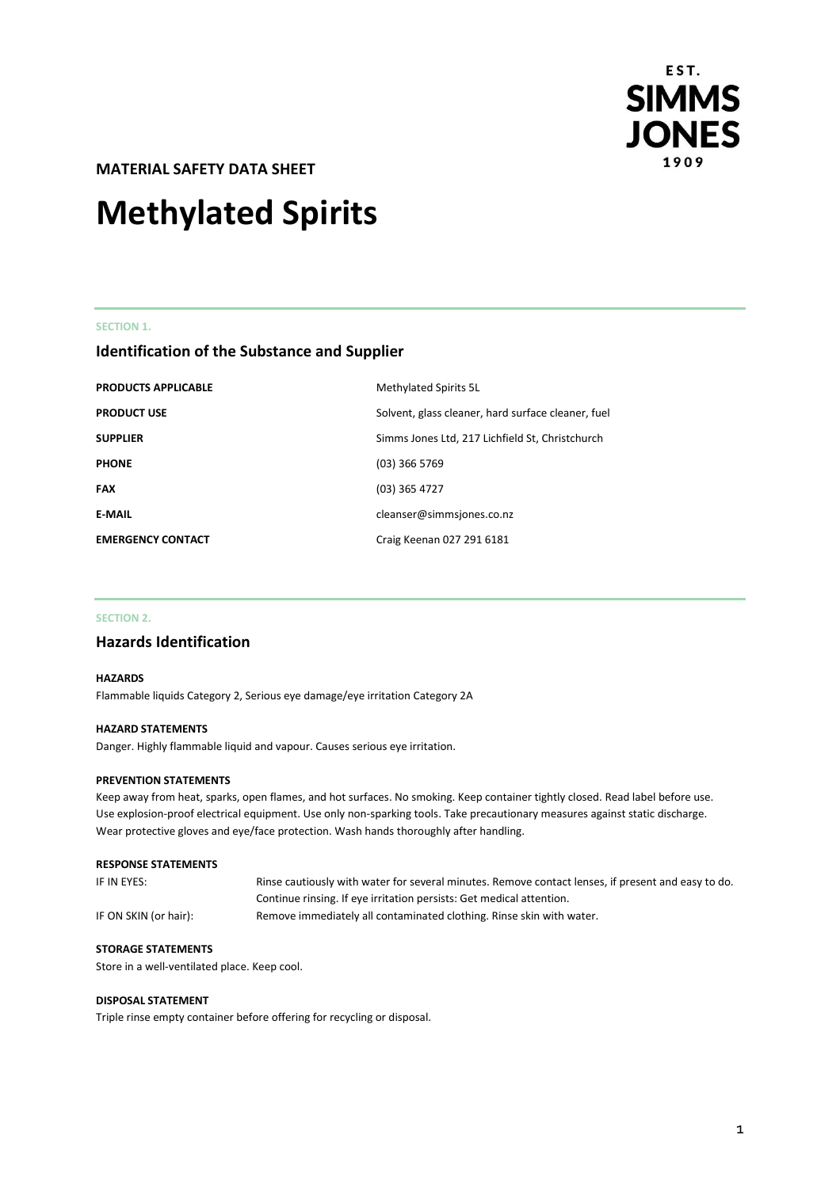

**MATERIAL SAFETY DATA SHEET** 

# **Methylated Spirits**

### **SECTION 1.**

# **Identification of the Substance and Supplier**

| <b>PRODUCTS APPLICABLE</b> | Methylated Spirits 5L                              |
|----------------------------|----------------------------------------------------|
| <b>PRODUCT USE</b>         | Solvent, glass cleaner, hard surface cleaner, fuel |
| <b>SUPPLIER</b>            | Simms Jones Ltd, 217 Lichfield St, Christchurch    |
| <b>PHONE</b>               | $(03)$ 366 5769                                    |
| <b>FAX</b>                 | $(03)$ 365 4727                                    |
| <b>E-MAIL</b>              | cleanser@simmsjones.co.nz                          |
| <b>EMERGENCY CONTACT</b>   | Craig Keenan 027 291 6181                          |

### **SECTION 2.**

# **Hazards Identification**

### **HAZARDS**

Flammable liquids Category 2, Serious eye damage/eye irritation Category 2A

### **HAZARD STATEMENTS**

Danger. Highly flammable liquid and vapour. Causes serious eye irritation.

#### **PREVENTION STATEMENTS**

Keep away from heat, sparks, open flames, and hot surfaces. No smoking. Keep container tightly closed. Read label before use. Use explosion-proof electrical equipment. Use only non-sparking tools. Take precautionary measures against static discharge. Wear protective gloves and eye/face protection. Wash hands thoroughly after handling.

### **RESPONSE STATEMENTS**

| IF IN EYES:           | Rinse cautiously with water for several minutes. Remove contact lenses, if present and easy to do. |
|-----------------------|----------------------------------------------------------------------------------------------------|
|                       | Continue rinsing. If eye irritation persists: Get medical attention.                               |
| IF ON SKIN (or hair): | Remove immediately all contaminated clothing. Rinse skin with water.                               |

### **STORAGE STATEMENTS**

Store in a well-ventilated place. Keep cool.

### **DISPOSAL STATEMENT**

Triple rinse empty container before offering for recycling or disposal.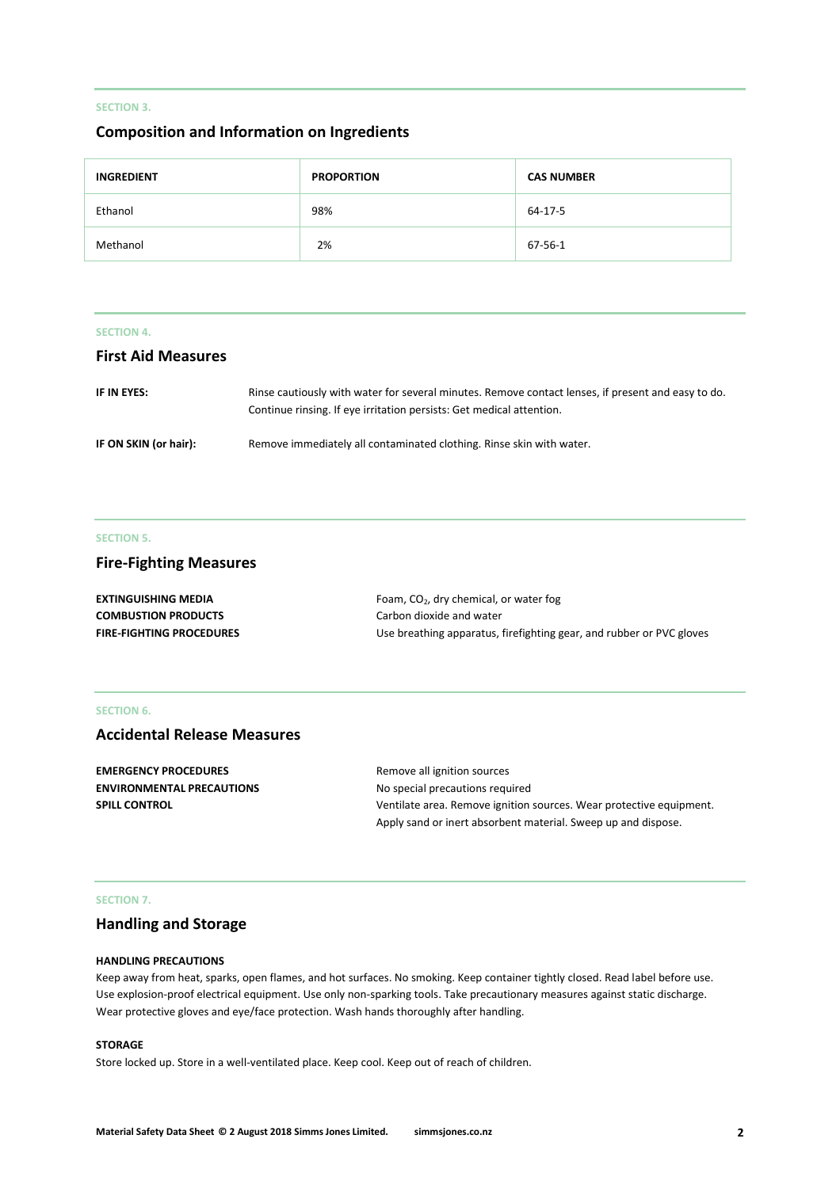### **SECTION 3.**

# **Composition and Information on Ingredients**

| <b>INGREDIENT</b> | <b>PROPORTION</b> | <b>CAS NUMBER</b> |
|-------------------|-------------------|-------------------|
| Ethanol           | 98%               | 64-17-5           |
| Methanol          | 2%                | 67-56-1           |

### **SECTION 4.**

# **First Aid Measures**

| IF IN EYES:           | Rinse cautiously with water for several minutes. Remove contact lenses, if present and easy to do.<br>Continue rinsing. If eye irritation persists: Get medical attention. |
|-----------------------|----------------------------------------------------------------------------------------------------------------------------------------------------------------------------|
| IF ON SKIN (or hair): | Remove immediately all contaminated clothing. Rinse skin with water.                                                                                                       |

### **SECTION 5.**

# **Fire-Fighting Measures**

| EXTINGUISHING MEDIA             | Foam, $CO2$ , dry chemical, or water fog                             |
|---------------------------------|----------------------------------------------------------------------|
| <b>COMBUSTION PRODUCTS</b>      | Carbon dioxide and water                                             |
| <b>FIRE-FIGHTING PROCEDURES</b> | Use breathing apparatus, firefighting gear, and rubber or PVC gloves |

# **SECTION 6.**

# **Accidental Release Measures**

| <b>EMERGENCY PROCEDURES</b>      | Remove all ignition sources                                         |  |
|----------------------------------|---------------------------------------------------------------------|--|
| <b>ENVIRONMENTAL PRECAUTIONS</b> | No special precautions required                                     |  |
| <b>SPILL CONTROL</b>             | Ventilate area. Remove ignition sources. Wear protective equipment. |  |
|                                  | Apply sand or inert absorbent material. Sweep up and dispose.       |  |

#### **SECTION 7.**

# **Handling and Storage**

#### **HANDLING PRECAUTIONS**

Keep away from heat, sparks, open flames, and hot surfaces. No smoking. Keep container tightly closed. Read label before use. Use explosion-proof electrical equipment. Use only non-sparking tools. Take precautionary measures against static discharge. Wear protective gloves and eye/face protection. Wash hands thoroughly after handling.

### **STORAGE**

Store locked up. Store in a well-ventilated place. Keep cool. Keep out of reach of children.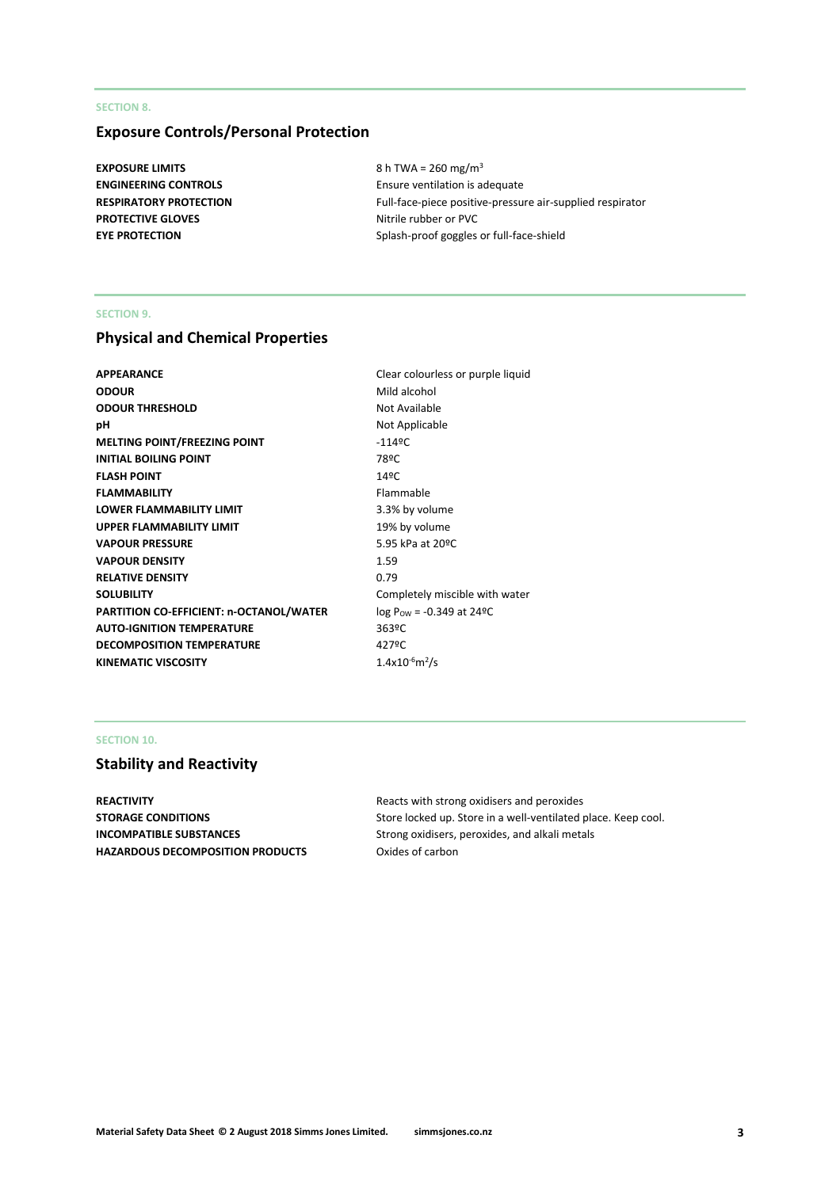## **SECTION 8.**

# **Exposure Controls/Personal Protection**

**EXPOSURE LIMITS** 8 h TWA = 260 mg/m<sup>3</sup> **PROTECTIVE GLOVES** Nitrile rubber or PVC

**ENGINEERING CONTROLS** Ensure ventilation is adequate **RESPIRATORY PROTECTION** Full-face-piece positive-pressure air-supplied respirator **EYE PROTECTION** Splash-proof goggles or full-face-shield

### **SECTION 9.**

# **Physical and Chemical Properties**

| <b>APPEARANCE</b>                              | Clear colourless or purple liquid |
|------------------------------------------------|-----------------------------------|
| <b>ODOUR</b>                                   | Mild alcohol                      |
| <b>ODOUR THRESHOLD</b>                         | Not Available                     |
| рH                                             | Not Applicable                    |
| <b>MELTING POINT/FREEZING POINT</b>            | $-1149C$                          |
| <b>INITIAL BOILING POINT</b>                   | 78ºC                              |
| <b>FLASH POINT</b>                             | 14°C                              |
| <b>FLAMMABILITY</b>                            | Flammable                         |
| <b>LOWER FLAMMABILITY LIMIT</b>                | 3.3% by volume                    |
| <b>UPPER FLAMMABILITY LIMIT</b>                | 19% by volume                     |
| <b>VAPOUR PRESSURE</b>                         | 5.95 kPa at 20ºC                  |
| <b>VAPOUR DENSITY</b>                          | 1.59                              |
| <b>RELATIVE DENSITY</b>                        | 0.79                              |
| <b>SOLUBILITY</b>                              | Completely miscible with water    |
| <b>PARTITION CO-EFFICIENT: n-OCTANOL/WATER</b> | $log P_{OW} = -0.349$ at 24°C     |
| <b>AUTO-IGNITION TEMPERATURE</b>               | 363ºC                             |
| <b>DECOMPOSITION TEMPERATURE</b>               | 427ºC                             |
| <b>KINEMATIC VISCOSITY</b>                     | $1.4x10^{6}m^{2}/s$               |
|                                                |                                   |

### **SECTION 10.**

# **Stability and Reactivity**

**REACTIVITY** Reacts with strong oxidisers and peroxides **HAZARDOUS DECOMPOSITION PRODUCTS** Oxides of carbon

**STORAGE CONDITIONS** Store locked up. Store in a well-ventilated place. Keep cool. **INCOMPATIBLE SUBSTANCES** Strong oxidisers, peroxides, and alkali metals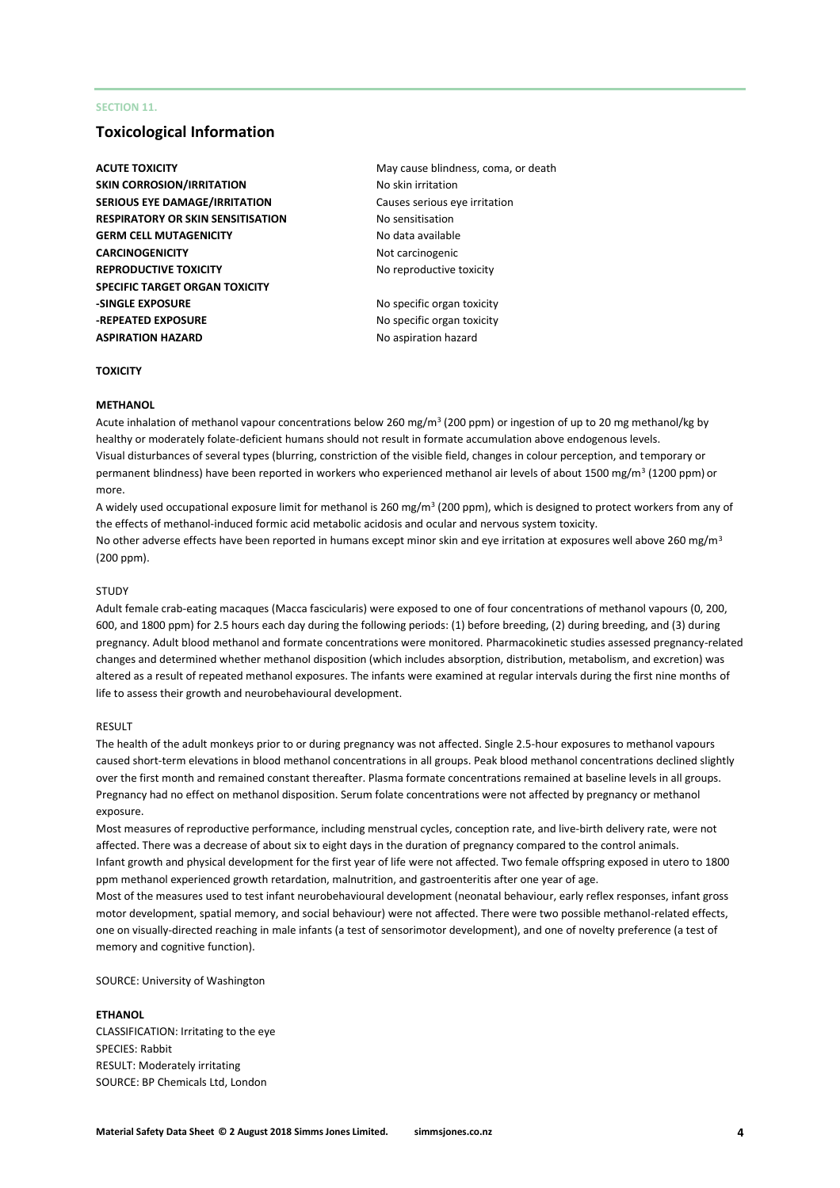### **SECTION 11.**

# **Toxicological Information**

- **SKIN CORROSION/IRRITATION** No skin irritation **SERIOUS EYE DAMAGE/IRRITATION** Causes serious eye irritation **RESPIRATORY OR SKIN SENSITISATION No sensitisation GERM CELL MUTAGENICITY** No data available **CARCINOGENICITY** 2002 2003 2004 2005 2006 2012 2013 **REPRODUCTIVE TOXICITY** No reproductive toxicity **SPECIFIC TARGET ORGAN TOXICITY -SINGLE EXPOSURE** No specific organ toxicity **-REPEATED EXPOSURE** No specific organ toxicity **ASPIRATION HAZARD** No aspiration hazard
- **ACUTE TOXICITY ACUTE TOXICITY May cause blindness, coma, or death**

#### **TOXICITY**

#### **METHANOL**

Acute inhalation of methanol vapour concentrations below 260 mg/m<sup>3</sup> (200 ppm) or ingestion of up to 20 mg methanol/kg by healthy or moderately folate-deficient humans should not result in formate accumulation above endogenous levels. Visual disturbances of several types (blurring, constriction of the visible field, changes in colour perception, and temporary or permanent blindness) have been reported in workers who experienced methanol air levels of about 1500 mg/m<sup>3</sup> (1200 ppm) or more.

A widely used occupational exposure limit for methanol is 260 mg/m<sup>3</sup> (200 ppm), which is designed to protect workers from any of the effects of methanol-induced formic acid metabolic acidosis and ocular and nervous system toxicity. No other adverse effects have been reported in humans except minor skin and eye irritation at exposures well above 260 mg/m<sup>3</sup> (200 ppm).

#### **STUDY**

Adult female crab-eating macaques (Macca fascicularis) were exposed to one of four concentrations of methanol vapours (0, 200, 600, and 1800 ppm) for 2.5 hours each day during the following periods: (1) before breeding, (2) during breeding, and (3) during pregnancy. Adult blood methanol and formate concentrations were monitored. Pharmacokinetic studies assessed pregnancy-related changes and determined whether methanol disposition (which includes absorption, distribution, metabolism, and excretion) was altered as a result of repeated methanol exposures. The infants were examined at regular intervals during the first nine months of life to assess their growth and neurobehavioural development.

#### RESULT

The health of the adult monkeys prior to or during pregnancy was not affected. Single 2.5-hour exposures to methanol vapours caused short-term elevations in blood methanol concentrations in all groups. Peak blood methanol concentrations declined slightly over the first month and remained constant thereafter. Plasma formate concentrations remained at baseline levels in all groups. Pregnancy had no effect on methanol disposition. Serum folate concentrations were not affected by pregnancy or methanol exposure.

Most measures of reproductive performance, including menstrual cycles, conception rate, and live-birth delivery rate, were not affected. There was a decrease of about six to eight days in the duration of pregnancy compared to the control animals. Infant growth and physical development for the first year of life were not affected. Two female offspring exposed in utero to 1800 ppm methanol experienced growth retardation, malnutrition, and gastroenteritis after one year of age.

Most of the measures used to test infant neurobehavioural development (neonatal behaviour, early reflex responses, infant gross motor development, spatial memory, and social behaviour) were not affected. There were two possible methanol-related effects, one on visually-directed reaching in male infants (a test of sensorimotor development), and one of novelty preference (a test of memory and cognitive function).

SOURCE: University of Washington

#### **ETHANOL**

CLASSIFICATION: Irritating to the eye SPECIES: Rabbit RESULT: Moderately irritating SOURCE: BP Chemicals Ltd, London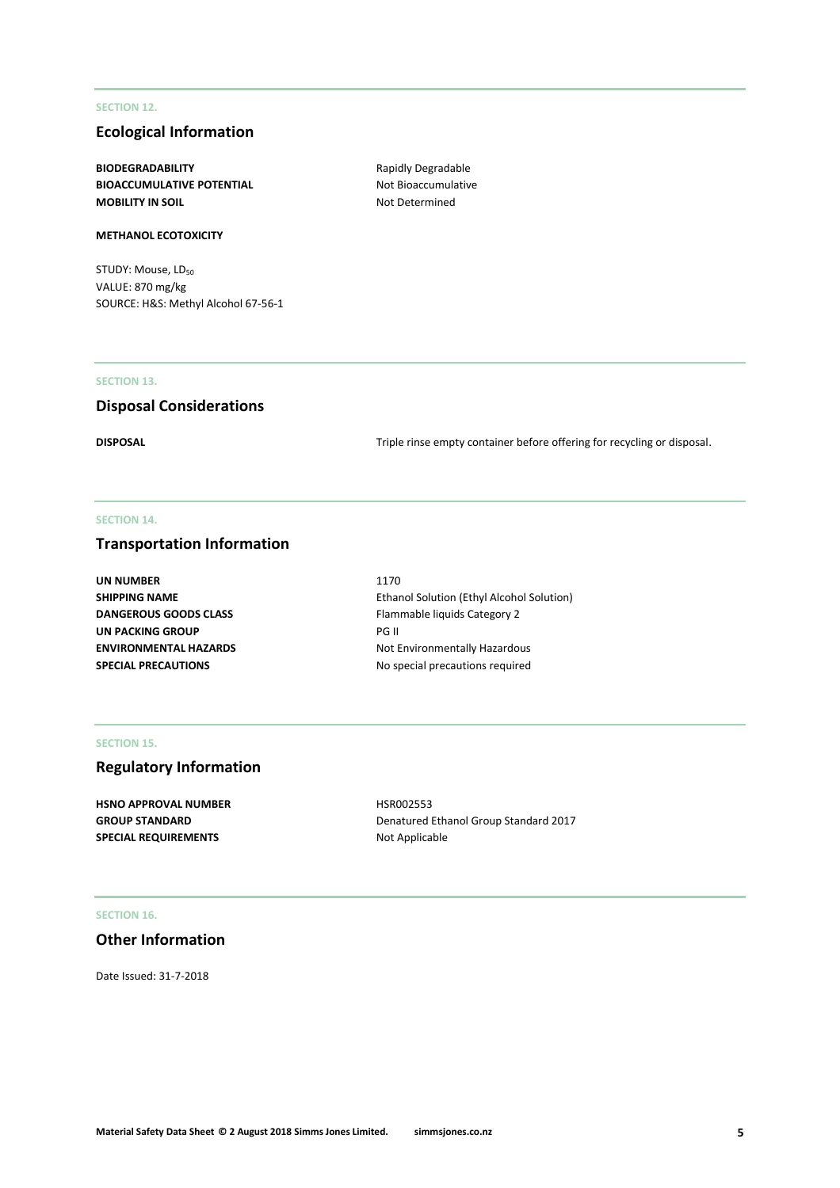### **SECTION 12.**

# **Ecological Information**

**BIODEGRADABILITY** Rapidly Degradable **BIOACCUMULATIVE POTENTIAL** Not Bioaccumulative **MOBILITY IN SOIL** MOBILITY IN SOIL

### **METHANOL ECOTOXICITY**

STUDY: Mouse, LD<sub>50</sub> VALUE: 870 mg/kg SOURCE: H&S: Methyl Alcohol 67-56-1

### **SECTION 13.**

# **Disposal Considerations**

**DISPOSAL** DISPOSAL **Triple rinse empty container before offering for recycling or disposal.** 

### **SECTION 14.**

# **Transportation Information**

| 1170                                             |
|--------------------------------------------------|
| <b>Ethanol Solution (Ethyl Alcohol Solution)</b> |
| Flammable liquids Category 2                     |
| <b>PG II</b>                                     |
| Not Environmentally Hazardous                    |
| No special precautions required                  |
|                                                  |

### **SECTION 15.**

# **Regulatory Information**

**HSNO APPROVAL NUMBER** HSR002553 SPECIAL REQUIREMENTS **Not Applicable** 

GROUP STANDARD **GROUP STANDARD** Denatured Ethanol Group Standard 2017

#### **SECTION 16.**

# **Other Information**

Date Issued: 31-7-2018